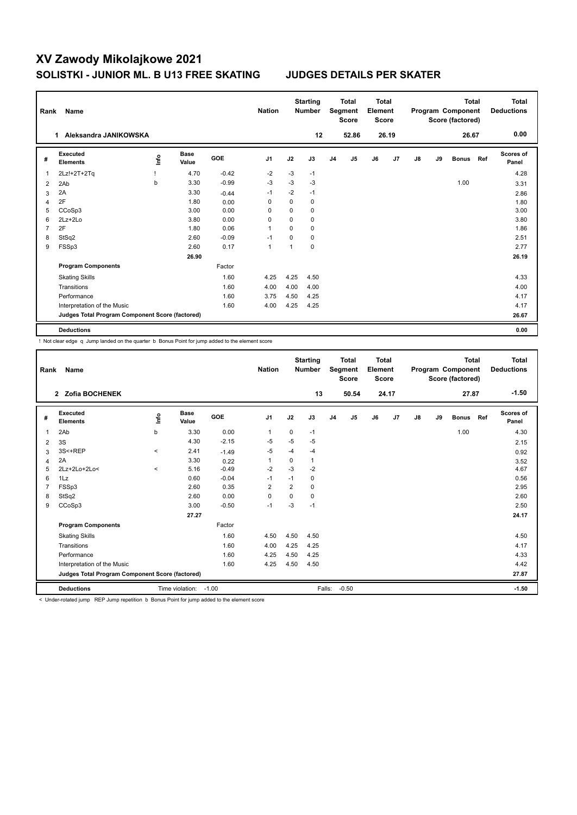| Rank           | <b>Name</b>                                     |      |                      |            | <b>Nation</b>  |          | <b>Starting</b><br><b>Number</b> |                | <b>Total</b><br>Segment<br><b>Score</b> | <b>Total</b><br>Element<br><b>Score</b> |                |    |    | <b>Total</b><br>Program Component<br>Score (factored) |     | <b>Total</b><br><b>Deductions</b> |
|----------------|-------------------------------------------------|------|----------------------|------------|----------------|----------|----------------------------------|----------------|-----------------------------------------|-----------------------------------------|----------------|----|----|-------------------------------------------------------|-----|-----------------------------------|
|                | Aleksandra JANIKOWSKA<br>1.                     |      |                      |            |                |          | 12                               |                | 52.86                                   |                                         | 26.19          |    |    | 26.67                                                 |     | 0.00                              |
| #              | Executed<br><b>Elements</b>                     | ١nto | <b>Base</b><br>Value | <b>GOE</b> | J <sub>1</sub> | J2       | J3                               | J <sub>4</sub> | J <sub>5</sub>                          | J6                                      | J <sub>7</sub> | J8 | J9 | <b>Bonus</b>                                          | Ref | <b>Scores of</b><br>Panel         |
| $\overline{1}$ | 2Lz!+2T+2Tq                                     |      | 4.70                 | $-0.42$    | $-2$           | $-3$     | $-1$                             |                |                                         |                                         |                |    |    |                                                       |     | 4.28                              |
| 2              | 2Ab                                             | b    | 3.30                 | $-0.99$    | $-3$           | $-3$     | $-3$                             |                |                                         |                                         |                |    |    | 1.00                                                  |     | 3.31                              |
| 3              | 2A                                              |      | 3.30                 | $-0.44$    | $-1$           | $-2$     | $-1$                             |                |                                         |                                         |                |    |    |                                                       |     | 2.86                              |
| $\overline{4}$ | 2F                                              |      | 1.80                 | 0.00       | 0              | 0        | 0                                |                |                                         |                                         |                |    |    |                                                       |     | 1.80                              |
| 5              | CCoSp3                                          |      | 3.00                 | 0.00       | 0              | $\Omega$ | 0                                |                |                                         |                                         |                |    |    |                                                       |     | 3.00                              |
| 6              | $2Lz + 2Lo$                                     |      | 3.80                 | 0.00       | $\Omega$       | $\Omega$ | 0                                |                |                                         |                                         |                |    |    |                                                       |     | 3.80                              |
| 7              | 2F                                              |      | 1.80                 | 0.06       | $\mathbf{1}$   | $\Omega$ | 0                                |                |                                         |                                         |                |    |    |                                                       |     | 1.86                              |
| 8              | StSq2                                           |      | 2.60                 | $-0.09$    | $-1$           | 0        | 0                                |                |                                         |                                         |                |    |    |                                                       |     | 2.51                              |
| 9              | FSSp3                                           |      | 2.60                 | 0.17       | $\mathbf{1}$   | 1        | 0                                |                |                                         |                                         |                |    |    |                                                       |     | 2.77                              |
|                |                                                 |      | 26.90                |            |                |          |                                  |                |                                         |                                         |                |    |    |                                                       |     | 26.19                             |
|                | <b>Program Components</b>                       |      |                      | Factor     |                |          |                                  |                |                                         |                                         |                |    |    |                                                       |     |                                   |
|                | <b>Skating Skills</b>                           |      |                      | 1.60       | 4.25           | 4.25     | 4.50                             |                |                                         |                                         |                |    |    |                                                       |     | 4.33                              |
|                | Transitions                                     |      |                      | 1.60       | 4.00           | 4.00     | 4.00                             |                |                                         |                                         |                |    |    |                                                       |     | 4.00                              |
|                | Performance                                     |      |                      | 1.60       | 3.75           | 4.50     | 4.25                             |                |                                         |                                         |                |    |    |                                                       |     | 4.17                              |
|                | Interpretation of the Music                     |      |                      | 1.60       | 4.00           | 4.25     | 4.25                             |                |                                         |                                         |                |    |    |                                                       |     | 4.17                              |
|                | Judges Total Program Component Score (factored) |      |                      |            |                |          |                                  |                |                                         |                                         |                |    |    |                                                       |     | 26.67                             |
|                | <b>Deductions</b>                               |      |                      |            |                |          |                                  |                |                                         |                                         |                |    |    |                                                       |     | 0.00                              |

! Not clear edge q Jump landed on the quarter b Bonus Point for jump added to the element score

| Rank           | Name                                            |         |                      |         | <b>Nation</b>  |                | <b>Starting</b><br><b>Number</b> |                | <b>Total</b><br>Segment<br><b>Score</b> | Total<br>Element<br><b>Score</b> |       |    |    | <b>Total</b><br>Program Component<br>Score (factored) |     | Total<br><b>Deductions</b> |
|----------------|-------------------------------------------------|---------|----------------------|---------|----------------|----------------|----------------------------------|----------------|-----------------------------------------|----------------------------------|-------|----|----|-------------------------------------------------------|-----|----------------------------|
|                | 2 Zofia BOCHENEK                                |         |                      |         |                |                | 13                               |                | 50.54                                   |                                  | 24.17 |    |    | 27.87                                                 |     | $-1.50$                    |
| #              | Executed<br><b>Elements</b>                     | ١nf٥    | <b>Base</b><br>Value | GOE     | J <sub>1</sub> | J2             | J3                               | J <sub>4</sub> | J <sub>5</sub>                          | J6                               | J7    | J8 | J9 | <b>Bonus</b>                                          | Ref | Scores of<br>Panel         |
| 1              | 2Ab                                             | b       | 3.30                 | 0.00    | 1              | 0              | $-1$                             |                |                                         |                                  |       |    |    | 1.00                                                  |     | 4.30                       |
| 2              | 3S                                              |         | 4.30                 | $-2.15$ | $-5$           | $-5$           | $-5$                             |                |                                         |                                  |       |    |    |                                                       |     | 2.15                       |
| 3              | 3S<+REP                                         | $\,<\,$ | 2.41                 | $-1.49$ | $-5$           | $-4$           | $-4$                             |                |                                         |                                  |       |    |    |                                                       |     | 0.92                       |
| $\overline{4}$ | 2A                                              |         | 3.30                 | 0.22    | 1              | 0              | 1                                |                |                                         |                                  |       |    |    |                                                       |     | 3.52                       |
| 5              | 2Lz+2Lo+2Lo<                                    | $\prec$ | 5.16                 | $-0.49$ | $-2$           | $-3$           | $-2$                             |                |                                         |                                  |       |    |    |                                                       |     | 4.67                       |
| 6              | 1Lz                                             |         | 0.60                 | $-0.04$ | $-1$           | $-1$           | 0                                |                |                                         |                                  |       |    |    |                                                       |     | 0.56                       |
|                | FSSp3                                           |         | 2.60                 | 0.35    | 2              | $\overline{2}$ | 0                                |                |                                         |                                  |       |    |    |                                                       |     | 2.95                       |
| 8              | StSq2                                           |         | 2.60                 | 0.00    | $\Omega$       | $\Omega$       | 0                                |                |                                         |                                  |       |    |    |                                                       |     | 2.60                       |
| 9              | CCoSp3                                          |         | 3.00                 | $-0.50$ | $-1$           | $-3$           | $-1$                             |                |                                         |                                  |       |    |    |                                                       |     | 2.50                       |
|                |                                                 |         | 27.27                |         |                |                |                                  |                |                                         |                                  |       |    |    |                                                       |     | 24.17                      |
|                | <b>Program Components</b>                       |         |                      | Factor  |                |                |                                  |                |                                         |                                  |       |    |    |                                                       |     |                            |
|                | <b>Skating Skills</b>                           |         |                      | 1.60    | 4.50           | 4.50           | 4.50                             |                |                                         |                                  |       |    |    |                                                       |     | 4.50                       |
|                | Transitions                                     |         |                      | 1.60    | 4.00           | 4.25           | 4.25                             |                |                                         |                                  |       |    |    |                                                       |     | 4.17                       |
|                | Performance                                     |         |                      | 1.60    | 4.25           | 4.50           | 4.25                             |                |                                         |                                  |       |    |    |                                                       |     | 4.33                       |
|                | Interpretation of the Music                     |         |                      | 1.60    | 4.25           | 4.50           | 4.50                             |                |                                         |                                  |       |    |    |                                                       |     | 4.42                       |
|                | Judges Total Program Component Score (factored) |         |                      |         |                |                |                                  |                |                                         |                                  |       |    |    |                                                       |     | 27.87                      |
|                | <b>Deductions</b>                               |         | Time violation:      | $-1.00$ |                |                | Falls:                           |                | $-0.50$                                 |                                  |       |    |    |                                                       |     | $-1.50$                    |

< Under-rotated jump REP Jump repetition b Bonus Point for jump added to the element score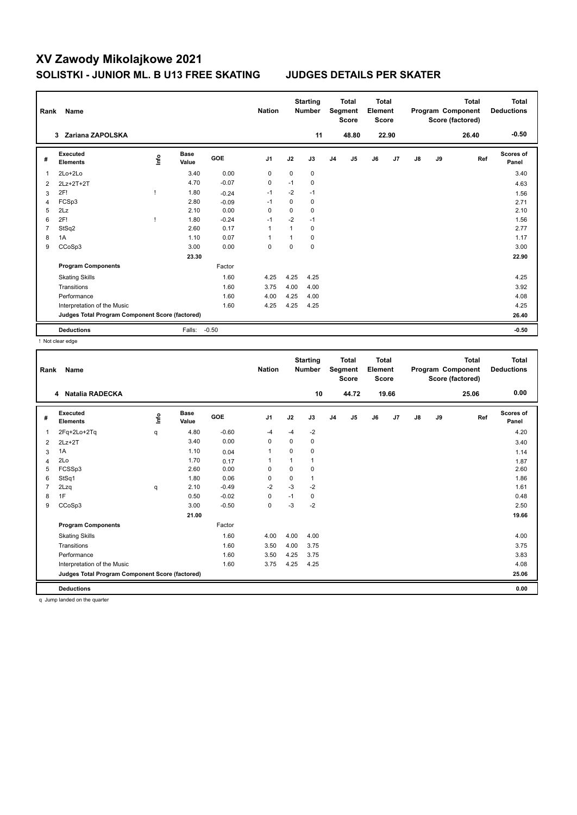| Rank           | <b>Name</b>                                     |      |                      |            | <b>Nation</b>  |             | <b>Starting</b><br><b>Number</b> |                | <b>Total</b><br>Segment<br><b>Score</b> | <b>Total</b><br>Element<br><b>Score</b> |       |    |    | <b>Total</b><br>Program Component<br>Score (factored) | Total<br><b>Deductions</b> |
|----------------|-------------------------------------------------|------|----------------------|------------|----------------|-------------|----------------------------------|----------------|-----------------------------------------|-----------------------------------------|-------|----|----|-------------------------------------------------------|----------------------------|
|                | Zariana ZAPOLSKA<br>3                           |      |                      |            |                |             | 11                               |                | 48.80                                   |                                         | 22.90 |    |    | 26.40                                                 | $-0.50$                    |
| #              | Executed<br><b>Elements</b>                     | lnfo | <b>Base</b><br>Value | <b>GOE</b> | J <sub>1</sub> | J2          | J3                               | J <sub>4</sub> | J5                                      | J6                                      | J7    | J8 | J9 | Ref                                                   | Scores of<br>Panel         |
| $\overline{1}$ | 2Lo+2Lo                                         |      | 3.40                 | 0.00       | $\mathbf 0$    | $\mathbf 0$ | 0                                |                |                                         |                                         |       |    |    |                                                       | 3.40                       |
| 2              | 2Lz+2T+2T                                       |      | 4.70                 | $-0.07$    | 0              | $-1$        | 0                                |                |                                         |                                         |       |    |    |                                                       | 4.63                       |
| 3              | 2F!                                             |      | 1.80                 | $-0.24$    | $-1$           | $-2$        | $-1$                             |                |                                         |                                         |       |    |    |                                                       | 1.56                       |
| 4              | FCSp3                                           |      | 2.80                 | $-0.09$    | $-1$           | 0           | 0                                |                |                                         |                                         |       |    |    |                                                       | 2.71                       |
| 5              | 2Lz                                             |      | 2.10                 | 0.00       | 0              | $\Omega$    | 0                                |                |                                         |                                         |       |    |    |                                                       | 2.10                       |
| 6              | 2F!                                             |      | 1.80                 | $-0.24$    | $-1$           | $-2$        | $-1$                             |                |                                         |                                         |       |    |    |                                                       | 1.56                       |
| $\overline{7}$ | StSq2                                           |      | 2.60                 | 0.17       | 1              |             | 0                                |                |                                         |                                         |       |    |    |                                                       | 2.77                       |
| 8              | 1A                                              |      | 1.10                 | 0.07       |                |             | 0                                |                |                                         |                                         |       |    |    |                                                       | 1.17                       |
| 9              | CCoSp3                                          |      | 3.00                 | 0.00       | 0              | $\Omega$    | 0                                |                |                                         |                                         |       |    |    |                                                       | 3.00                       |
|                |                                                 |      | 23.30                |            |                |             |                                  |                |                                         |                                         |       |    |    |                                                       | 22.90                      |
|                | <b>Program Components</b>                       |      |                      | Factor     |                |             |                                  |                |                                         |                                         |       |    |    |                                                       |                            |
|                | <b>Skating Skills</b>                           |      |                      | 1.60       | 4.25           | 4.25        | 4.25                             |                |                                         |                                         |       |    |    |                                                       | 4.25                       |
|                | Transitions                                     |      |                      | 1.60       | 3.75           | 4.00        | 4.00                             |                |                                         |                                         |       |    |    |                                                       | 3.92                       |
|                | Performance                                     |      |                      | 1.60       | 4.00           | 4.25        | 4.00                             |                |                                         |                                         |       |    |    |                                                       | 4.08                       |
|                | Interpretation of the Music                     |      |                      | 1.60       | 4.25           | 4.25        | 4.25                             |                |                                         |                                         |       |    |    |                                                       | 4.25                       |
|                | Judges Total Program Component Score (factored) |      |                      |            |                |             |                                  |                |                                         |                                         |       |    |    |                                                       | 26.40                      |
|                | <b>Deductions</b>                               |      | Falls:               | $-0.50$    |                |             |                                  |                |                                         |                                         |       |    |    |                                                       | $-0.50$                    |

! Not clear edge

| Rank | Name                                            |      |                      |         | <b>Nation</b>  |          | <b>Starting</b><br><b>Number</b> |                | <b>Total</b><br>Segment<br><b>Score</b> | <b>Total</b><br>Element<br><b>Score</b> |       |               |    | <b>Total</b><br>Program Component<br>Score (factored) | <b>Total</b><br><b>Deductions</b> |
|------|-------------------------------------------------|------|----------------------|---------|----------------|----------|----------------------------------|----------------|-----------------------------------------|-----------------------------------------|-------|---------------|----|-------------------------------------------------------|-----------------------------------|
|      | 4 Natalia RADECKA                               |      |                      |         |                |          | 10                               |                | 44.72                                   |                                         | 19.66 |               |    | 25.06                                                 | 0.00                              |
| #    | Executed<br><b>Elements</b>                     | lnfo | <b>Base</b><br>Value | GOE     | J <sub>1</sub> | J2       | J3                               | J <sub>4</sub> | J5                                      | J6                                      | J7    | $\mathsf{J}8$ | J9 | Ref                                                   | <b>Scores of</b><br>Panel         |
| 1    | 2Fq+2Lo+2Tq                                     | q    | 4.80                 | $-0.60$ | -4             | $-4$     | $-2$                             |                |                                         |                                         |       |               |    |                                                       | 4.20                              |
| 2    | $2Lz+2T$                                        |      | 3.40                 | 0.00    | 0              | 0        | 0                                |                |                                         |                                         |       |               |    |                                                       | 3.40                              |
| 3    | 1A                                              |      | 1.10                 | 0.04    | 1              | $\Omega$ | 0                                |                |                                         |                                         |       |               |    |                                                       | 1.14                              |
| 4    | 2Lo                                             |      | 1.70                 | 0.17    | -1             |          | 1                                |                |                                         |                                         |       |               |    |                                                       | 1.87                              |
| 5    | FCSSp3                                          |      | 2.60                 | 0.00    | 0              | 0        | 0                                |                |                                         |                                         |       |               |    |                                                       | 2.60                              |
| 6    | StSq1                                           |      | 1.80                 | 0.06    | 0              | $\Omega$ | 1                                |                |                                         |                                         |       |               |    |                                                       | 1.86                              |
|      | 2Lzq                                            | q    | 2.10                 | $-0.49$ | $-2$           | $-3$     | $-2$                             |                |                                         |                                         |       |               |    |                                                       | 1.61                              |
| 8    | 1F                                              |      | 0.50                 | $-0.02$ | $\mathbf 0$    | $-1$     | 0                                |                |                                         |                                         |       |               |    |                                                       | 0.48                              |
| 9    | CCoSp3                                          |      | 3.00                 | $-0.50$ | $\mathbf 0$    | $-3$     | $-2$                             |                |                                         |                                         |       |               |    |                                                       | 2.50                              |
|      |                                                 |      | 21.00                |         |                |          |                                  |                |                                         |                                         |       |               |    |                                                       | 19.66                             |
|      | <b>Program Components</b>                       |      |                      | Factor  |                |          |                                  |                |                                         |                                         |       |               |    |                                                       |                                   |
|      | <b>Skating Skills</b>                           |      |                      | 1.60    | 4.00           | 4.00     | 4.00                             |                |                                         |                                         |       |               |    |                                                       | 4.00                              |
|      | Transitions                                     |      |                      | 1.60    | 3.50           | 4.00     | 3.75                             |                |                                         |                                         |       |               |    |                                                       | 3.75                              |
|      | Performance                                     |      |                      | 1.60    | 3.50           | 4.25     | 3.75                             |                |                                         |                                         |       |               |    |                                                       | 3.83                              |
|      | Interpretation of the Music                     |      |                      | 1.60    | 3.75           | 4.25     | 4.25                             |                |                                         |                                         |       |               |    |                                                       | 4.08                              |
|      | Judges Total Program Component Score (factored) |      |                      |         |                |          |                                  |                |                                         |                                         |       |               |    |                                                       | 25.06                             |
|      | <b>Deductions</b>                               |      |                      |         |                |          |                                  |                |                                         |                                         |       |               |    |                                                       | 0.00                              |

q Jump landed on the quarter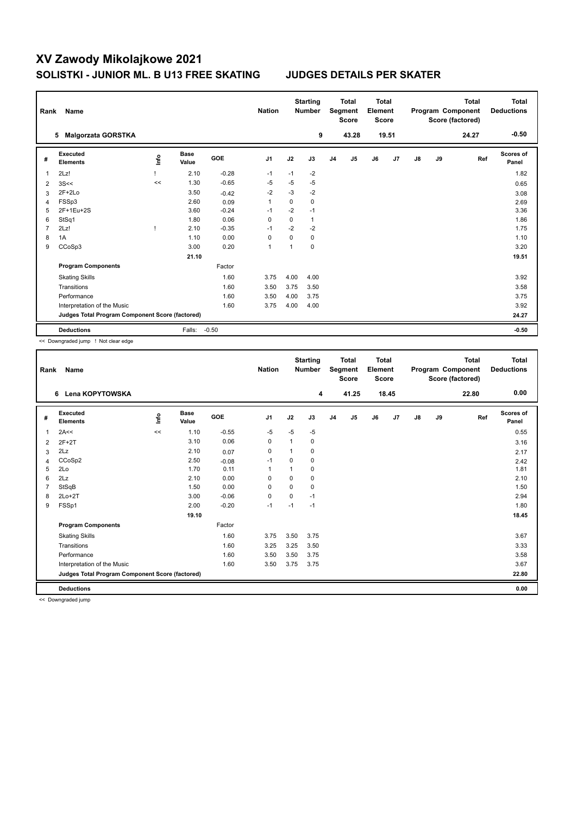| Rank           | Name                                            |      |                      |         | <b>Nation</b>  |          | <b>Starting</b><br><b>Number</b> |                | <b>Total</b><br>Segment<br><b>Score</b> | <b>Total</b><br>Element<br><b>Score</b> |       |               |    | <b>Total</b><br>Program Component<br>Score (factored) | <b>Total</b><br><b>Deductions</b> |
|----------------|-------------------------------------------------|------|----------------------|---------|----------------|----------|----------------------------------|----------------|-----------------------------------------|-----------------------------------------|-------|---------------|----|-------------------------------------------------------|-----------------------------------|
|                | <b>Malgorzata GORSTKA</b><br>5                  |      |                      |         |                |          | 9                                |                | 43.28                                   |                                         | 19.51 |               |    | 24.27                                                 | $-0.50$                           |
| #              | Executed<br><b>Elements</b>                     | lnfo | <b>Base</b><br>Value | GOE     | J <sub>1</sub> | J2       | J3                               | J <sub>4</sub> | J5                                      | J6                                      | J7    | $\mathsf{J}8$ | J9 | Ref                                                   | Scores of<br>Panel                |
| 1              | 2Lz!                                            |      | 2.10                 | $-0.28$ | $-1$           | $-1$     | $-2$                             |                |                                         |                                         |       |               |    |                                                       | 1.82                              |
| 2              | 3S<<                                            | <<   | 1.30                 | $-0.65$ | $-5$           | $-5$     | $-5$                             |                |                                         |                                         |       |               |    |                                                       | 0.65                              |
| 3              | $2F+2Lo$                                        |      | 3.50                 | $-0.42$ | $-2$           | $-3$     | $-2$                             |                |                                         |                                         |       |               |    |                                                       | 3.08                              |
| 4              | FSSp3                                           |      | 2.60                 | 0.09    | $\overline{1}$ | $\Omega$ | 0                                |                |                                         |                                         |       |               |    |                                                       | 2.69                              |
| 5              | 2F+1Eu+2S                                       |      | 3.60                 | $-0.24$ | $-1$           | $-2$     | $-1$                             |                |                                         |                                         |       |               |    |                                                       | 3.36                              |
| 6              | StSq1                                           |      | 1.80                 | 0.06    | 0              | 0        | 1                                |                |                                         |                                         |       |               |    |                                                       | 1.86                              |
| $\overline{7}$ | 2Lz!                                            | -1   | 2.10                 | $-0.35$ | $-1$           | $-2$     | $-2$                             |                |                                         |                                         |       |               |    |                                                       | 1.75                              |
| 8              | 1A                                              |      | 1.10                 | 0.00    | 0              | $\Omega$ | 0                                |                |                                         |                                         |       |               |    |                                                       | 1.10                              |
| 9              | CCoSp3                                          |      | 3.00                 | 0.20    | $\overline{1}$ | 1        | $\Omega$                         |                |                                         |                                         |       |               |    |                                                       | 3.20                              |
|                |                                                 |      | 21.10                |         |                |          |                                  |                |                                         |                                         |       |               |    |                                                       | 19.51                             |
|                | <b>Program Components</b>                       |      |                      | Factor  |                |          |                                  |                |                                         |                                         |       |               |    |                                                       |                                   |
|                | <b>Skating Skills</b>                           |      |                      | 1.60    | 3.75           | 4.00     | 4.00                             |                |                                         |                                         |       |               |    |                                                       | 3.92                              |
|                | Transitions                                     |      |                      | 1.60    | 3.50           | 3.75     | 3.50                             |                |                                         |                                         |       |               |    |                                                       | 3.58                              |
|                | Performance                                     |      |                      | 1.60    | 3.50           | 4.00     | 3.75                             |                |                                         |                                         |       |               |    |                                                       | 3.75                              |
|                | Interpretation of the Music                     |      |                      | 1.60    | 3.75           | 4.00     | 4.00                             |                |                                         |                                         |       |               |    |                                                       | 3.92                              |
|                | Judges Total Program Component Score (factored) |      |                      |         |                |          |                                  |                |                                         |                                         |       |               |    |                                                       | 24.27                             |
|                | <b>Deductions</b>                               |      | Falls:               | $-0.50$ |                |          |                                  |                |                                         |                                         |       |               |    |                                                       | $-0.50$                           |

<< Downgraded jump ! Not clear edge

| Rank | <b>Name</b>                                     |       |                      |         | <b>Nation</b>  |          | <b>Starting</b><br><b>Number</b> |    | <b>Total</b><br>Segment<br><b>Score</b> | <b>Total</b><br>Element<br><b>Score</b> |       |               |    | <b>Total</b><br>Program Component<br>Score (factored) | <b>Total</b><br><b>Deductions</b> |
|------|-------------------------------------------------|-------|----------------------|---------|----------------|----------|----------------------------------|----|-----------------------------------------|-----------------------------------------|-------|---------------|----|-------------------------------------------------------|-----------------------------------|
|      | Lena KOPYTOWSKA<br>6                            |       |                      |         |                |          | 4                                |    | 41.25                                   |                                         | 18.45 |               |    | 22.80                                                 | 0.00                              |
| #    | Executed<br><b>Elements</b>                     | Linfo | <b>Base</b><br>Value | GOE     | J <sub>1</sub> | J2       | J3                               | J4 | J5                                      | J6                                      | J7    | $\mathsf{J}8$ | J9 | Ref                                                   | <b>Scores of</b><br>Panel         |
| 1    | 2A<<                                            | <<    | 1.10                 | $-0.55$ | -5             | $-5$     | $-5$                             |    |                                         |                                         |       |               |    |                                                       | 0.55                              |
| 2    | $2F+2T$                                         |       | 3.10                 | 0.06    | 0              |          | 0                                |    |                                         |                                         |       |               |    |                                                       | 3.16                              |
| 3    | 2Lz                                             |       | 2.10                 | 0.07    | 0              |          | 0                                |    |                                         |                                         |       |               |    |                                                       | 2.17                              |
| 4    | CCoSp2                                          |       | 2.50                 | $-0.08$ | $-1$           | $\Omega$ | 0                                |    |                                         |                                         |       |               |    |                                                       | 2.42                              |
| 5    | 2Lo                                             |       | 1.70                 | 0.11    | $\mathbf{1}$   |          | 0                                |    |                                         |                                         |       |               |    |                                                       | 1.81                              |
| 6    | 2Lz                                             |       | 2.10                 | 0.00    | $\Omega$       | $\Omega$ | 0                                |    |                                         |                                         |       |               |    |                                                       | 2.10                              |
|      | StSqB                                           |       | 1.50                 | 0.00    | 0              | $\Omega$ | 0                                |    |                                         |                                         |       |               |    |                                                       | 1.50                              |
| 8    | $2Lo+2T$                                        |       | 3.00                 | $-0.06$ | $\mathbf 0$    | 0        | $-1$                             |    |                                         |                                         |       |               |    |                                                       | 2.94                              |
| 9    | FSSp1                                           |       | 2.00                 | $-0.20$ | $-1$           | $-1$     | $-1$                             |    |                                         |                                         |       |               |    |                                                       | 1.80                              |
|      |                                                 |       | 19.10                |         |                |          |                                  |    |                                         |                                         |       |               |    |                                                       | 18.45                             |
|      | <b>Program Components</b>                       |       |                      | Factor  |                |          |                                  |    |                                         |                                         |       |               |    |                                                       |                                   |
|      | <b>Skating Skills</b>                           |       |                      | 1.60    | 3.75           | 3.50     | 3.75                             |    |                                         |                                         |       |               |    |                                                       | 3.67                              |
|      | Transitions                                     |       |                      | 1.60    | 3.25           | 3.25     | 3.50                             |    |                                         |                                         |       |               |    |                                                       | 3.33                              |
|      | Performance                                     |       |                      | 1.60    | 3.50           | 3.50     | 3.75                             |    |                                         |                                         |       |               |    |                                                       | 3.58                              |
|      | Interpretation of the Music                     |       |                      | 1.60    | 3.50           | 3.75     | 3.75                             |    |                                         |                                         |       |               |    |                                                       | 3.67                              |
|      | Judges Total Program Component Score (factored) |       |                      |         |                |          |                                  |    |                                         |                                         |       |               |    |                                                       | 22.80                             |
|      | <b>Deductions</b>                               |       |                      |         |                |          |                                  |    |                                         |                                         |       |               |    |                                                       | 0.00                              |

<< Downgraded jump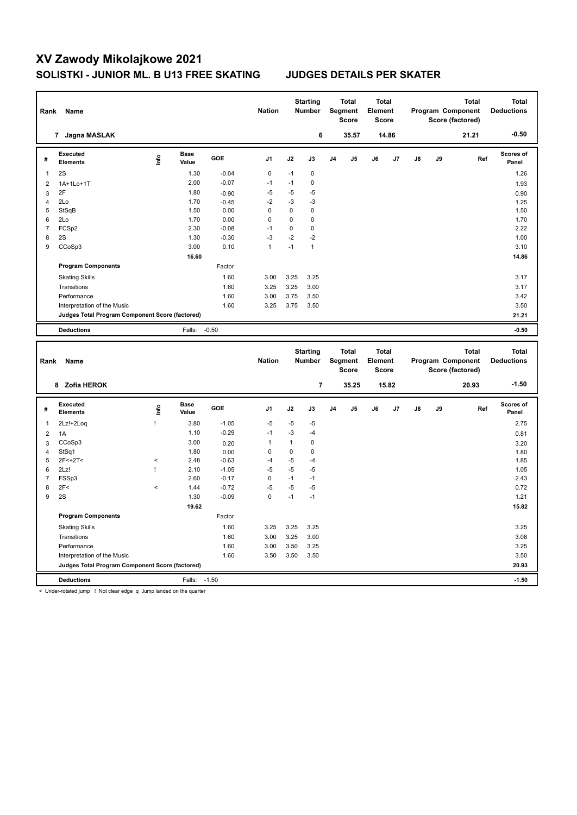| Rank                  | <b>Name</b>                                     |       |                      |                 | <b>Nation</b> |              | <b>Starting</b><br><b>Number</b> |                | <b>Total</b><br>Segment<br><b>Score</b> | <b>Total</b><br>Element<br><b>Score</b> |       |    |    | <b>Total</b><br>Program Component<br>Score (factored) |     | <b>Total</b><br><b>Deductions</b> |
|-----------------------|-------------------------------------------------|-------|----------------------|-----------------|---------------|--------------|----------------------------------|----------------|-----------------------------------------|-----------------------------------------|-------|----|----|-------------------------------------------------------|-----|-----------------------------------|
|                       | 7 Jagna MASLAK                                  |       |                      |                 |               |              | 6                                |                | 35.57                                   |                                         | 14.86 |    |    | 21.21                                                 |     | $-0.50$                           |
| #                     | <b>Executed</b><br>Elements                     | ١nf٥  | <b>Base</b><br>Value | GOE             | J1            | J2           | J3                               | J <sub>4</sub> | J5                                      | J6                                      | J7    | J8 | J9 |                                                       | Ref | Scores of<br>Panel                |
| $\mathbf{1}$          | 2S                                              |       | 1.30                 | $-0.04$         | $\mathbf 0$   | $-1$         | $\pmb{0}$                        |                |                                         |                                         |       |    |    |                                                       |     | 1.26                              |
| $\overline{2}$        | 1A+1Lo+1T                                       |       | 2.00                 | $-0.07$         | $-1$          | $-1$         | $\mathbf 0$                      |                |                                         |                                         |       |    |    |                                                       |     | 1.93                              |
| $\mathbf{3}$          | 2F                                              |       | 1.80                 | $-0.90$         | $-5$          | $-5$         | $-5$                             |                |                                         |                                         |       |    |    |                                                       |     | 0.90                              |
| $\overline{4}$        | 2Lo                                             |       | 1.70                 | $-0.45$         | $-2$          | $-3$         | $-3$                             |                |                                         |                                         |       |    |    |                                                       |     | 1.25                              |
| 5                     | StSqB                                           |       | 1.50                 | 0.00            | $\mathbf 0$   | $\mathbf 0$  | $\pmb{0}$                        |                |                                         |                                         |       |    |    |                                                       |     | 1.50                              |
| 6                     | 2Lo                                             |       | 1.70                 | 0.00            | 0             | $\mathbf 0$  | $\pmb{0}$                        |                |                                         |                                         |       |    |    |                                                       |     | 1.70                              |
| $\overline{7}$        | FCSp2                                           |       | 2.30                 | $-0.08$         | $-1$<br>$-3$  | $\mathbf 0$  | $\pmb{0}$                        |                |                                         |                                         |       |    |    |                                                       |     | 2.22                              |
| 8<br>$\boldsymbol{9}$ | 2S<br>CCoSp3                                    |       | 1.30<br>3.00         | $-0.30$<br>0.10 | $\mathbf{1}$  | $-2$<br>$-1$ | $-2$<br>$\mathbf{1}$             |                |                                         |                                         |       |    |    |                                                       |     | 1.00<br>3.10                      |
|                       |                                                 |       |                      |                 |               |              |                                  |                |                                         |                                         |       |    |    |                                                       |     |                                   |
|                       |                                                 |       | 16.60                | Factor          |               |              |                                  |                |                                         |                                         |       |    |    |                                                       |     | 14.86                             |
|                       | <b>Program Components</b>                       |       |                      |                 |               |              |                                  |                |                                         |                                         |       |    |    |                                                       |     |                                   |
|                       | <b>Skating Skills</b>                           |       |                      | 1.60            | 3.00          | 3.25         | 3.25                             |                |                                         |                                         |       |    |    |                                                       |     | 3.17                              |
|                       | Transitions                                     |       |                      | 1.60            | 3.25          | 3.25         | 3.00                             |                |                                         |                                         |       |    |    |                                                       |     | 3.17                              |
|                       | Performance<br>Interpretation of the Music      |       |                      | 1.60<br>1.60    | 3.00<br>3.25  | 3.75<br>3.75 | 3.50<br>3.50                     |                |                                         |                                         |       |    |    |                                                       |     | 3.42<br>3.50                      |
|                       | Judges Total Program Component Score (factored) |       |                      |                 |               |              |                                  |                |                                         |                                         |       |    |    |                                                       |     | 21.21                             |
|                       |                                                 |       |                      |                 |               |              |                                  |                |                                         |                                         |       |    |    |                                                       |     |                                   |
|                       | <b>Deductions</b>                               |       | Falls:               | $-0.50$         |               |              |                                  |                |                                         |                                         |       |    |    |                                                       |     | $-0.50$                           |
|                       |                                                 |       |                      |                 |               |              |                                  |                |                                         |                                         |       |    |    |                                                       |     |                                   |
| Rank                  | Name                                            |       |                      |                 | <b>Nation</b> |              | <b>Starting</b><br><b>Number</b> |                | <b>Total</b><br>Segment<br><b>Score</b> | <b>Total</b><br>Element<br><b>Score</b> |       |    |    | <b>Total</b><br>Program Component<br>Score (factored) |     | <b>Total</b><br><b>Deductions</b> |
|                       | 8 Zofia HEROK                                   |       |                      |                 |               |              | $\overline{7}$                   |                | 35.25                                   |                                         | 15.82 |    |    | 20.93                                                 |     | $-1.50$                           |
| #                     | <b>Executed</b><br><b>Elements</b>              | lnfo  | <b>Base</b><br>Value | GOE             | J1            | J2           | J3                               | J <sub>4</sub> | J5                                      | J6                                      | J7    | J8 | J9 |                                                       | Ref | Scores of<br>Panel                |
| 1                     | 2Lz!+2Loq                                       | Ţ     | 3.80                 | $-1.05$         | $-5$          | $-5$         | $-5$                             |                |                                         |                                         |       |    |    |                                                       |     | 2.75                              |
| $\overline{2}$        | 1A                                              |       | 1.10                 | $-0.29$         | $-1$          | $-3$         | -4                               |                |                                         |                                         |       |    |    |                                                       |     | 0.81                              |
| 3                     | CCoSp3                                          |       | 3.00                 | 0.20            | $\mathbf{1}$  | $\mathbf{1}$ | $\pmb{0}$                        |                |                                         |                                         |       |    |    |                                                       |     | 3.20                              |
| $\overline{4}$        | StSq1                                           |       | 1.80                 | 0.00            | $\mathbf 0$   | 0            | $\pmb{0}$                        |                |                                         |                                         |       |    |    |                                                       |     | 1.80                              |
| 5                     | $2F < +2T <$                                    | $\,<$ | 2.48                 | $-0.63$         | $-4$          | -5           | $-4$                             |                |                                         |                                         |       |    |    |                                                       |     | 1.85                              |
| 6                     | 2Lz!                                            | Ţ     | 2.10                 | $-1.05$         | $-5$          | $-5$         | $-5$                             |                |                                         |                                         |       |    |    |                                                       |     | 1.05                              |
| $\overline{7}$        | FSSp3                                           |       | 2.60                 | $-0.17$         | $\mathbf 0$   | $-1$         | $-1$                             |                |                                         |                                         |       |    |    |                                                       |     | 2.43                              |
| 8                     | 2F<                                             | $\,<$ | 1.44                 | $-0.72$         | $-5$          | $-5$         | $-5$                             |                |                                         |                                         |       |    |    |                                                       |     | 0.72                              |
| 9                     | 2S                                              |       | 1.30                 | $-0.09$         | $\mathbf 0$   | $-1$         | $-1$                             |                |                                         |                                         |       |    |    |                                                       |     | 1.21                              |
|                       |                                                 |       | 19.62                |                 |               |              |                                  |                |                                         |                                         |       |    |    |                                                       |     | 15.82                             |
|                       | <b>Program Components</b>                       |       |                      | Factor          |               |              |                                  |                |                                         |                                         |       |    |    |                                                       |     |                                   |
|                       | <b>Skating Skills</b>                           |       |                      | 1.60            | 3.25          | 3.25         | 3.25                             |                |                                         |                                         |       |    |    |                                                       |     | 3.25                              |
|                       | Transitions                                     |       |                      | 1.60            | 3.00          | 3.25         | 3.00                             |                |                                         |                                         |       |    |    |                                                       |     | 3.08                              |
|                       | Performance                                     |       |                      | 1.60            | 3.00          | 3.50         | 3.25                             |                |                                         |                                         |       |    |    |                                                       |     | 3.25                              |
|                       | Interpretation of the Music                     |       |                      | 1.60            | 3.50          | 3.50         | 3.50                             |                |                                         |                                         |       |    |    |                                                       |     | 3.50                              |
|                       | Judges Total Program Component Score (factored) |       |                      |                 |               |              |                                  |                |                                         |                                         |       |    |    |                                                       |     | 20.93                             |

< Under-rotated jump ! Not clear edge q Jump landed on the quarter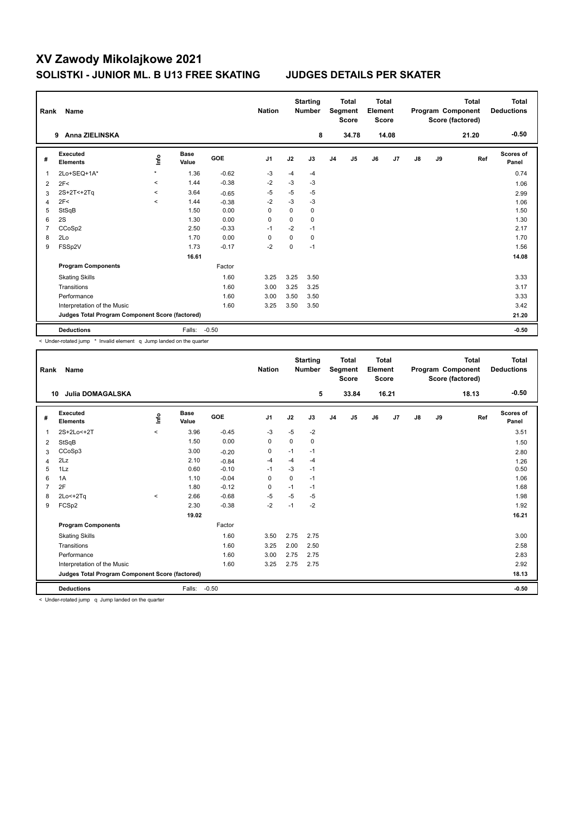| Rank           | Name                                            |         |                      |            | <b>Nation</b>  |          | <b>Starting</b><br><b>Number</b> |                | <b>Total</b><br>Segment<br><b>Score</b> | <b>Total</b><br>Element<br><b>Score</b> |                |    |    | <b>Total</b><br>Program Component<br>Score (factored) | <b>Total</b><br><b>Deductions</b> |
|----------------|-------------------------------------------------|---------|----------------------|------------|----------------|----------|----------------------------------|----------------|-----------------------------------------|-----------------------------------------|----------------|----|----|-------------------------------------------------------|-----------------------------------|
|                | Anna ZIELINSKA<br>9                             |         |                      |            |                |          | 8                                |                | 34.78                                   |                                         | 14.08          |    |    | 21.20                                                 | $-0.50$                           |
| #              | Executed<br><b>Elements</b>                     | ١nto    | <b>Base</b><br>Value | <b>GOE</b> | J <sub>1</sub> | J2       | J3                               | J <sub>4</sub> | J <sub>5</sub>                          | J6                                      | J <sub>7</sub> | J8 | J9 | Ref                                                   | <b>Scores of</b><br>Panel         |
| $\overline{1}$ | 2Lo+SEQ+1A*                                     | $\star$ | 1.36                 | $-0.62$    | $-3$           | $-4$     | $-4$                             |                |                                         |                                         |                |    |    |                                                       | 0.74                              |
| 2              | 2F<                                             | $\prec$ | 1.44                 | $-0.38$    | $-2$           | $-3$     | $-3$                             |                |                                         |                                         |                |    |    |                                                       | 1.06                              |
| 3              | 2S+2T<+2Tq                                      | $\prec$ | 3.64                 | $-0.65$    | $-5$           | $-5$     | $-5$                             |                |                                         |                                         |                |    |    |                                                       | 2.99                              |
| 4              | 2F<                                             | $\prec$ | 1.44                 | $-0.38$    | $-2$           | $-3$     | $-3$                             |                |                                         |                                         |                |    |    |                                                       | 1.06                              |
| 5              | StSqB                                           |         | 1.50                 | 0.00       | $\Omega$       | $\Omega$ | 0                                |                |                                         |                                         |                |    |    |                                                       | 1.50                              |
| 6              | 2S                                              |         | 1.30                 | 0.00       | 0              | $\Omega$ | 0                                |                |                                         |                                         |                |    |    |                                                       | 1.30                              |
| $\overline{7}$ | CCoSp2                                          |         | 2.50                 | $-0.33$    | $-1$           | $-2$     | $-1$                             |                |                                         |                                         |                |    |    |                                                       | 2.17                              |
| 8              | 2Lo                                             |         | 1.70                 | 0.00       | 0              | 0        | 0                                |                |                                         |                                         |                |    |    |                                                       | 1.70                              |
| 9              | FSSp2V                                          |         | 1.73                 | $-0.17$    | $-2$           | $\Omega$ | $-1$                             |                |                                         |                                         |                |    |    |                                                       | 1.56                              |
|                |                                                 |         | 16.61                |            |                |          |                                  |                |                                         |                                         |                |    |    |                                                       | 14.08                             |
|                | <b>Program Components</b>                       |         |                      | Factor     |                |          |                                  |                |                                         |                                         |                |    |    |                                                       |                                   |
|                | <b>Skating Skills</b>                           |         |                      | 1.60       | 3.25           | 3.25     | 3.50                             |                |                                         |                                         |                |    |    |                                                       | 3.33                              |
|                | Transitions                                     |         |                      | 1.60       | 3.00           | 3.25     | 3.25                             |                |                                         |                                         |                |    |    |                                                       | 3.17                              |
|                | Performance                                     |         |                      | 1.60       | 3.00           | 3.50     | 3.50                             |                |                                         |                                         |                |    |    |                                                       | 3.33                              |
|                | Interpretation of the Music                     |         |                      | 1.60       | 3.25           | 3.50     | 3.50                             |                |                                         |                                         |                |    |    |                                                       | 3.42                              |
|                | Judges Total Program Component Score (factored) |         |                      |            |                |          |                                  |                |                                         |                                         |                |    |    |                                                       | 21.20                             |
|                | <b>Deductions</b>                               |         | Falls:               | $-0.50$    |                |          |                                  |                |                                         |                                         |                |    |    |                                                       | $-0.50$                           |

< Under-rotated jump \* Invalid element q Jump landed on the quarter

| Rank           | <b>Name</b>                                     |         |                      |         | <b>Nation</b>  |             | <b>Starting</b><br><b>Number</b> |                | <b>Total</b><br>Segment<br><b>Score</b> | <b>Total</b><br>Element<br><b>Score</b> |       |               |    | <b>Total</b><br>Program Component<br>Score (factored) | <b>Total</b><br><b>Deductions</b> |
|----------------|-------------------------------------------------|---------|----------------------|---------|----------------|-------------|----------------------------------|----------------|-----------------------------------------|-----------------------------------------|-------|---------------|----|-------------------------------------------------------|-----------------------------------|
| 10             | <b>Julia DOMAGALSKA</b>                         |         |                      |         |                |             | 5                                |                | 33.84                                   |                                         | 16.21 |               |    | 18.13                                                 | $-0.50$                           |
| #              | Executed<br><b>Elements</b>                     | lnfo    | <b>Base</b><br>Value | GOE     | J <sub>1</sub> | J2          | J3                               | J <sub>4</sub> | J5                                      | J6                                      | J7    | $\mathsf{J}8$ | J9 | Ref                                                   | <b>Scores of</b><br>Panel         |
| 1              | 2S+2Lo<+2T                                      | $\prec$ | 3.96                 | $-0.45$ | $-3$           | $-5$        | $-2$                             |                |                                         |                                         |       |               |    |                                                       | 3.51                              |
| 2              | StSqB                                           |         | 1.50                 | 0.00    | 0              | $\mathbf 0$ | 0                                |                |                                         |                                         |       |               |    |                                                       | 1.50                              |
| 3              | CCoSp3                                          |         | 3.00                 | $-0.20$ | 0              | $-1$        | $-1$                             |                |                                         |                                         |       |               |    |                                                       | 2.80                              |
| $\overline{4}$ | 2Lz                                             |         | 2.10                 | $-0.84$ | $-4$           | $-4$        | $-4$                             |                |                                         |                                         |       |               |    |                                                       | 1.26                              |
| 5              | 1Lz                                             |         | 0.60                 | $-0.10$ | $-1$           | $-3$        | $-1$                             |                |                                         |                                         |       |               |    |                                                       | 0.50                              |
| 6              | 1A                                              |         | 1.10                 | $-0.04$ | 0              | 0           | $-1$                             |                |                                         |                                         |       |               |    |                                                       | 1.06                              |
| 7              | 2F                                              |         | 1.80                 | $-0.12$ | 0              | $-1$        | $-1$                             |                |                                         |                                         |       |               |    |                                                       | 1.68                              |
| 8              | $2Lo < +2Tq$                                    | $\,<\,$ | 2.66                 | $-0.68$ | $-5$           | $-5$        | $-5$                             |                |                                         |                                         |       |               |    |                                                       | 1.98                              |
| 9              | FCSp2                                           |         | 2.30                 | $-0.38$ | $-2$           | $-1$        | $-2$                             |                |                                         |                                         |       |               |    |                                                       | 1.92                              |
|                |                                                 |         | 19.02                |         |                |             |                                  |                |                                         |                                         |       |               |    |                                                       | 16.21                             |
|                | <b>Program Components</b>                       |         |                      | Factor  |                |             |                                  |                |                                         |                                         |       |               |    |                                                       |                                   |
|                | <b>Skating Skills</b>                           |         |                      | 1.60    | 3.50           | 2.75        | 2.75                             |                |                                         |                                         |       |               |    |                                                       | 3.00                              |
|                | Transitions                                     |         |                      | 1.60    | 3.25           | 2.00        | 2.50                             |                |                                         |                                         |       |               |    |                                                       | 2.58                              |
|                | Performance                                     |         |                      | 1.60    | 3.00           | 2.75        | 2.75                             |                |                                         |                                         |       |               |    |                                                       | 2.83                              |
|                | Interpretation of the Music                     |         |                      | 1.60    | 3.25           | 2.75        | 2.75                             |                |                                         |                                         |       |               |    |                                                       | 2.92                              |
|                | Judges Total Program Component Score (factored) |         |                      |         |                |             |                                  |                |                                         |                                         |       |               |    |                                                       | 18.13                             |
|                | <b>Deductions</b>                               |         | Falls:               | $-0.50$ |                |             |                                  |                |                                         |                                         |       |               |    |                                                       | $-0.50$                           |

< Under-rotated jump q Jump landed on the quarter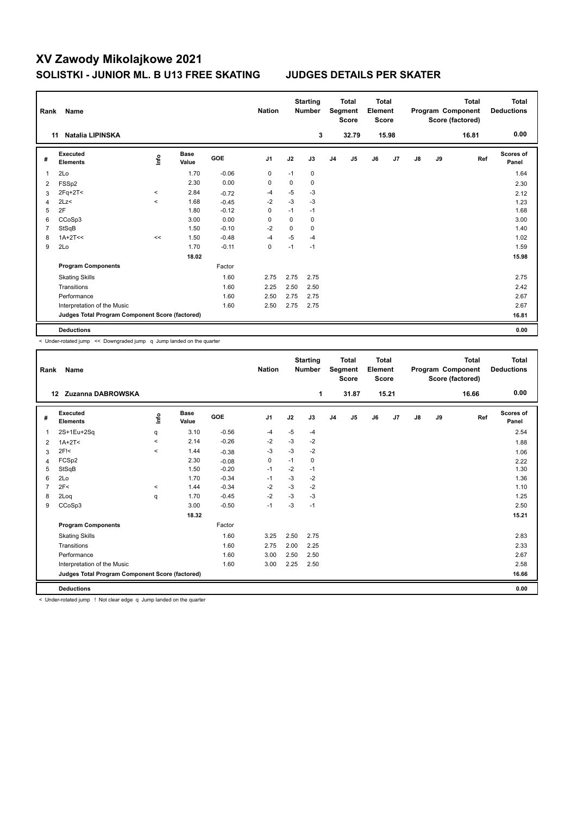| Rank           | Name                                            |         |                      |            | <b>Nation</b>  |      | <b>Starting</b><br><b>Number</b> |                | <b>Total</b><br>Segment<br><b>Score</b> | <b>Total</b><br>Element<br><b>Score</b> |       |               |    | <b>Total</b><br>Program Component<br>Score (factored) | <b>Total</b><br><b>Deductions</b> |
|----------------|-------------------------------------------------|---------|----------------------|------------|----------------|------|----------------------------------|----------------|-----------------------------------------|-----------------------------------------|-------|---------------|----|-------------------------------------------------------|-----------------------------------|
|                | <b>Natalia LIPINSKA</b><br>11                   |         |                      |            |                |      | 3                                |                | 32.79                                   |                                         | 15.98 |               |    | 16.81                                                 | 0.00                              |
| #              | <b>Executed</b><br><b>Elements</b>              | lnfo    | <b>Base</b><br>Value | <b>GOE</b> | J <sub>1</sub> | J2   | J3                               | J <sub>4</sub> | J <sub>5</sub>                          | J6                                      | J7    | $\mathsf{J}8$ | J9 | Ref                                                   | <b>Scores of</b><br>Panel         |
| 1              | 2Lo                                             |         | 1.70                 | $-0.06$    | $\mathbf 0$    | $-1$ | 0                                |                |                                         |                                         |       |               |    |                                                       | 1.64                              |
| 2              | FSSp2                                           |         | 2.30                 | 0.00       | $\pmb{0}$      | 0    | 0                                |                |                                         |                                         |       |               |    |                                                       | 2.30                              |
| 3              | $2Fq+2T<$                                       | $\prec$ | 2.84                 | $-0.72$    | $-4$           | $-5$ | $-3$                             |                |                                         |                                         |       |               |    |                                                       | 2.12                              |
| 4              | 2Lz<                                            | $\,<\,$ | 1.68                 | $-0.45$    | $-2$           | $-3$ | $-3$                             |                |                                         |                                         |       |               |    |                                                       | 1.23                              |
| 5              | 2F                                              |         | 1.80                 | $-0.12$    | 0              | $-1$ | $-1$                             |                |                                         |                                         |       |               |    |                                                       | 1.68                              |
| 6              | CCoSp3                                          |         | 3.00                 | 0.00       | $\Omega$       | 0    | 0                                |                |                                         |                                         |       |               |    |                                                       | 3.00                              |
| $\overline{7}$ | StSqB                                           |         | 1.50                 | $-0.10$    | $-2$           | 0    | 0                                |                |                                         |                                         |       |               |    |                                                       | 1.40                              |
| 8              | $1A+2T<<$                                       | <<      | 1.50                 | $-0.48$    | $-4$           | $-5$ | $-4$                             |                |                                         |                                         |       |               |    |                                                       | 1.02                              |
| 9              | 2Lo                                             |         | 1.70                 | $-0.11$    | $\pmb{0}$      | $-1$ | $-1$                             |                |                                         |                                         |       |               |    |                                                       | 1.59                              |
|                |                                                 |         | 18.02                |            |                |      |                                  |                |                                         |                                         |       |               |    |                                                       | 15.98                             |
|                | <b>Program Components</b>                       |         |                      | Factor     |                |      |                                  |                |                                         |                                         |       |               |    |                                                       |                                   |
|                | <b>Skating Skills</b>                           |         |                      | 1.60       | 2.75           | 2.75 | 2.75                             |                |                                         |                                         |       |               |    |                                                       | 2.75                              |
|                | Transitions                                     |         |                      | 1.60       | 2.25           | 2.50 | 2.50                             |                |                                         |                                         |       |               |    |                                                       | 2.42                              |
|                | Performance                                     |         |                      | 1.60       | 2.50           | 2.75 | 2.75                             |                |                                         |                                         |       |               |    |                                                       | 2.67                              |
|                | Interpretation of the Music                     |         |                      | 1.60       | 2.50           | 2.75 | 2.75                             |                |                                         |                                         |       |               |    |                                                       | 2.67                              |
|                | Judges Total Program Component Score (factored) |         |                      |            |                |      |                                  |                |                                         |                                         |       |               |    |                                                       | 16.81                             |
|                | <b>Deductions</b>                               |         |                      |            |                |      |                                  |                |                                         |                                         |       |               |    |                                                       | 0.00                              |

< Under-rotated jump << Downgraded jump q Jump landed on the quarter

| Rank    | <b>Name</b>                                     |         |                      |         | <b>Nation</b>  |      | <b>Starting</b><br><b>Number</b> |                | <b>Total</b><br>Segment<br><b>Score</b> | <b>Total</b><br>Element<br><b>Score</b> |       |               |    | <b>Total</b><br>Program Component<br>Score (factored) | <b>Total</b><br><b>Deductions</b> |
|---------|-------------------------------------------------|---------|----------------------|---------|----------------|------|----------------------------------|----------------|-----------------------------------------|-----------------------------------------|-------|---------------|----|-------------------------------------------------------|-----------------------------------|
| $12 \,$ | Zuzanna DABROWSKA                               |         |                      |         |                |      | 1                                |                | 31.87                                   |                                         | 15.21 |               |    | 16.66                                                 | 0.00                              |
| #       | Executed<br><b>Elements</b>                     | Linfo   | <b>Base</b><br>Value | GOE     | J <sub>1</sub> | J2   | J3                               | J <sub>4</sub> | J5                                      | J6                                      | J7    | $\mathsf{J}8$ | J9 | Ref                                                   | <b>Scores of</b><br>Panel         |
| 1       | 2S+1Eu+2Sq                                      | q       | 3.10                 | $-0.56$ | $-4$           | $-5$ | $-4$                             |                |                                         |                                         |       |               |    |                                                       | 2.54                              |
| 2       | $1A+2T2$                                        | $\prec$ | 2.14                 | $-0.26$ | -2             | $-3$ | $-2$                             |                |                                         |                                         |       |               |    |                                                       | 1.88                              |
| 3       | $2F$ !<                                         | $\prec$ | 1.44                 | $-0.38$ | $-3$           | $-3$ | $-2$                             |                |                                         |                                         |       |               |    |                                                       | 1.06                              |
| 4       | FCSp2                                           |         | 2.30                 | $-0.08$ | $\mathbf 0$    | $-1$ | $\Omega$                         |                |                                         |                                         |       |               |    |                                                       | 2.22                              |
| 5       | StSqB                                           |         | 1.50                 | $-0.20$ | $-1$           | $-2$ | $-1$                             |                |                                         |                                         |       |               |    |                                                       | 1.30                              |
| 6       | 2Lo                                             |         | 1.70                 | $-0.34$ | $-1$           | $-3$ | $-2$                             |                |                                         |                                         |       |               |    |                                                       | 1.36                              |
| 7       | 2F<                                             | $\,<\,$ | 1.44                 | $-0.34$ | $-2$           | $-3$ | $-2$                             |                |                                         |                                         |       |               |    |                                                       | 1.10                              |
| 8       | 2Log                                            | q       | 1.70                 | $-0.45$ | $-2$           | $-3$ | $-3$                             |                |                                         |                                         |       |               |    |                                                       | 1.25                              |
| 9       | CCoSp3                                          |         | 3.00                 | $-0.50$ | $-1$           | $-3$ | $-1$                             |                |                                         |                                         |       |               |    |                                                       | 2.50                              |
|         |                                                 |         | 18.32                |         |                |      |                                  |                |                                         |                                         |       |               |    |                                                       | 15.21                             |
|         | <b>Program Components</b>                       |         |                      | Factor  |                |      |                                  |                |                                         |                                         |       |               |    |                                                       |                                   |
|         | <b>Skating Skills</b>                           |         |                      | 1.60    | 3.25           | 2.50 | 2.75                             |                |                                         |                                         |       |               |    |                                                       | 2.83                              |
|         | Transitions                                     |         |                      | 1.60    | 2.75           | 2.00 | 2.25                             |                |                                         |                                         |       |               |    |                                                       | 2.33                              |
|         | Performance                                     |         |                      | 1.60    | 3.00           | 2.50 | 2.50                             |                |                                         |                                         |       |               |    |                                                       | 2.67                              |
|         | Interpretation of the Music                     |         |                      | 1.60    | 3.00           | 2.25 | 2.50                             |                |                                         |                                         |       |               |    |                                                       | 2.58                              |
|         | Judges Total Program Component Score (factored) |         |                      |         |                |      |                                  |                |                                         |                                         |       |               |    |                                                       | 16.66                             |
|         | <b>Deductions</b>                               |         |                      |         |                |      |                                  |                |                                         |                                         |       |               |    |                                                       | 0.00                              |

< Under-rotated jump ! Not clear edge q Jump landed on the quarter